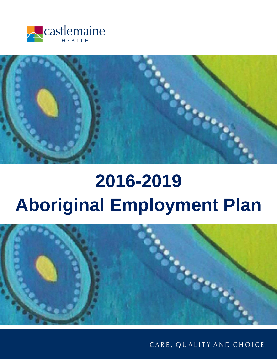



# **2016-2019 Aboriginal Employment Plan**



CARE, QUALITY AND CHOICE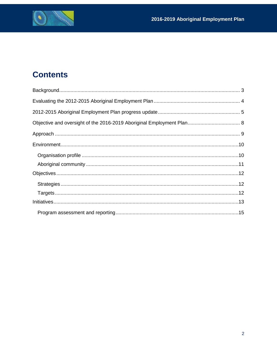

# **Contents**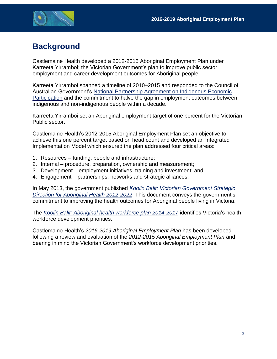

## <span id="page-2-0"></span>**Background**

Castlemaine Health developed a 2012-2015 Aboriginal Employment Plan under Karreeta Yirramboi; the Victorian Government's plan to improve public sector employment and career development outcomes for Aboriginal people.

Karreeta Yirramboi spanned a timeline of 2010–2015 and responded to the Council of Australian Government's [National Partnership Agreement on Indigenous Economic](http://www.federalfinancialrelations.gov.au/content/npa/skills/national-partnership/past/economic_participation_NP.pdf)  [Participation](http://www.federalfinancialrelations.gov.au/content/npa/skills/national-partnership/past/economic_participation_NP.pdf) and the commitment to halve the gap in employment outcomes between indigenous and non-indigenous people within a decade.

Karreeta Yirramboi set an Aboriginal employment target of one percent for the Victorian Public sector.

Castlemaine Health's 2012-2015 Aboriginal Employment Plan set an objective to achieve this one percent target based on head count and developed an Integrated Implementation Model which ensured the plan addressed four critical areas:

- 1. Resources funding, people and infrastructure;
- 2. Internal procedure, preparation, ownership and measurement;
- 3. Development employment initiatives, training and investment; and
- 4. Engagement partnerships, networks and strategic alliances.

In May 2013, the government published *Koolin Balit: [Victorian Government Strategic](https://www2.health.vic.gov.au/about/health-strategies/aboriginal-health/koolin-balit)  [Direction for Aboriginal Health 2012-2022](https://www2.health.vic.gov.au/about/health-strategies/aboriginal-health/koolin-balit)*. This document conveys the government's commitment to improving the health outcomes for Aboriginal people living in Victoria.

The *[Koolin Balit: Aboriginal health workforce plan 2014-2017](https://www2.health.vic.gov.au/health-workforce/aboriginal-health-workforce/koolin-balit/koolin-balit-aboriginal-health-workforce-plan)* identifies Victoria's health workforce development priorities.

Castlemaine Health's *2016-2019 Aboriginal Employment Plan* has been developed following a review and evaluation of the *2012-2015 Aboriginal Employment Plan* and bearing in mind the Victorian Government's workforce development priorities.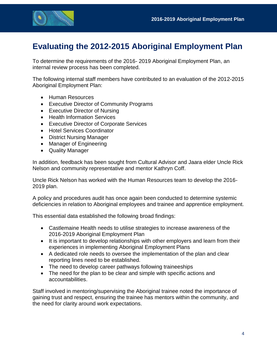

### <span id="page-3-0"></span>**Evaluating the 2012-2015 Aboriginal Employment Plan**

To determine the requirements of the 2016- 2019 Aboriginal Employment Plan, an internal review process has been completed.

The following internal staff members have contributed to an evaluation of the 2012-2015 Aboriginal Employment Plan:

- Human Resources
- Executive Director of Community Programs
- Executive Director of Nursing
- Health Information Services
- Executive Director of Corporate Services
- Hotel Services Coordinator
- District Nursing Manager
- Manager of Engineering
- Quality Manager

In addition, feedback has been sought from Cultural Advisor and Jaara elder Uncle Rick Nelson and community representative and mentor Kathryn Coff.

Uncle Rick Nelson has worked with the Human Resources team to develop the 2016- 2019 plan.

A policy and procedures audit has once again been conducted to determine systemic deficiencies in relation to Aboriginal employees and trainee and apprentice employment.

This essential data established the following broad findings:

- Castlemaine Health needs to utilise strategies to increase awareness of the 2016-2019 Aboriginal Employment Plan
- It is important to develop relationships with other employers and learn from their experiences in implementing Aboriginal Employment Plans
- A dedicated role needs to oversee the implementation of the plan and clear reporting lines need to be established.
- The need to develop career pathways following traineeships
- The need for the plan to be clear and simple with specific actions and accountabilities.

Staff involved in mentoring/supervising the Aboriginal trainee noted the importance of gaining trust and respect, ensuring the trainee has mentors within the community, and the need for clarity around work expectations.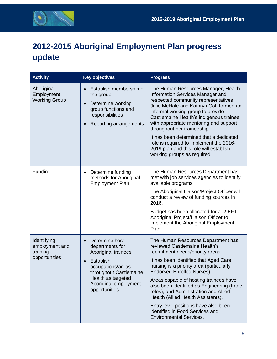

# <span id="page-4-0"></span>**2012-2015 Aboriginal Employment Plan progress update**

| <b>Activity</b>                                            | <b>Key objectives</b>                                                                                                                                                                                    | <b>Progress</b>                                                                                                                                                                                                                                                                                                                                                                                                                                                                                                        |
|------------------------------------------------------------|----------------------------------------------------------------------------------------------------------------------------------------------------------------------------------------------------------|------------------------------------------------------------------------------------------------------------------------------------------------------------------------------------------------------------------------------------------------------------------------------------------------------------------------------------------------------------------------------------------------------------------------------------------------------------------------------------------------------------------------|
| Aboriginal<br>Employment<br><b>Working Group</b>           | Establish membership of<br>the group<br>Determine working<br>group functions and<br>responsibilities<br>Reporting arrangements                                                                           | The Human Resources Manager, Health<br>Information Services Manager and<br>respected community representatives<br>Julie McHale and Kathryn Coff formed an<br>informal working group to provide<br>Castlemaine Health's indigenous trainee<br>with appropriate mentoring and support<br>throughout her traineeship.<br>It has been determined that a dedicated<br>role is required to implement the 2016-<br>2019 plan and this role will establish<br>working groups as required.                                      |
| Funding                                                    | Determine funding<br>$\bullet$<br>methods for Aboriginal<br><b>Employment Plan</b>                                                                                                                       | The Human Resources Department has<br>met with job services agencies to identify<br>available programs.<br>The Aboriginal Liaison/Project Officer will<br>conduct a review of funding sources in<br>2016.<br>Budget has been allocated for a .2 EFT<br>Aboriginal Project/Liaison Officer to<br>implement the Aboriginal Employment<br>Plan.                                                                                                                                                                           |
| Identifying<br>employment and<br>training<br>opportunities | Determine host<br>$\bullet$<br>departments for<br>Aboriginal trainees<br><b>Establish</b><br>occupations/areas<br>throughout Castlemaine<br>Health as targeted<br>Aboriginal employment<br>opportunities | The Human Resources Department has<br>reviewed Castlemaine Health's<br>recruitment needs/priority areas.<br>It has been identified that Aged Care<br>nursing is a priority area (particularly<br><b>Endorsed Enrolled Nurses).</b><br>Areas capable of hosting trainees have<br>also been identified as Engineering (trade<br>roles), and Administration and Allied<br>Health (Allied Health Assistants).<br>Entry level positions have also been<br>identified in Food Services and<br><b>Environmental Services.</b> |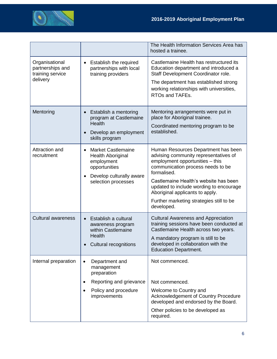

|                                                                    |                                                                                                                                          | The Health Information Services Area has<br>hosted a trainee.                                                                                                                                                                                                                                                                                        |
|--------------------------------------------------------------------|------------------------------------------------------------------------------------------------------------------------------------------|------------------------------------------------------------------------------------------------------------------------------------------------------------------------------------------------------------------------------------------------------------------------------------------------------------------------------------------------------|
| Organisational<br>partnerships and<br>training service<br>delivery | Establish the required<br>$\bullet$<br>partnerships with local<br>training providers                                                     | Castlemaine Health has restructured its<br>Education department and introduced a<br>Staff Development Coordinator role.<br>The department has established strong<br>working relationships with universities,<br>RTOs and TAFEs.                                                                                                                      |
| Mentoring                                                          | Establish a mentoring<br>$\bullet$<br>program at Castlemaine<br><b>Health</b><br>Develop an employment<br>skills program                 | Mentoring arrangements were put in<br>place for Aboriginal trainee.<br>Coordinated mentoring program to be<br>established.                                                                                                                                                                                                                           |
| Attraction and<br>recruitment                                      | <b>Market Castlemaine</b><br><b>Health Aboriginal</b><br>employment<br>opportunities<br>Develop culturally aware<br>selection processes  | Human Resources Department has been<br>advising community representatives of<br>employment opportunities - this<br>communication process needs to be<br>formalised.<br>Castlemaine Health's website has been<br>updated to include wording to encourage<br>Aboriginal applicants to apply.<br>Further marketing strategies still to be<br>developed. |
| <b>Cultural awareness</b>                                          | Establish a cultural<br>awareness program<br>within Castlemaine<br><b>Health</b><br><b>Cultural recognitions</b>                         | <b>Cultural Awareness and Appreciation</b><br>training sessions have been conducted at<br>Castlemaine Health across two years.<br>A mandatory program is still to be<br>developed in collaboration with the<br><b>Education Department.</b>                                                                                                          |
| Internal preparation                                               | Department and<br>$\bullet$<br>management<br>preparation<br>Reporting and grievance<br>Policy and procedure<br>$\bullet$<br>improvements | Not commenced.<br>Not commenced.<br>Welcome to Country and<br>Acknowledgement of Country Procedure<br>developed and endorsed by the Board.<br>Other policies to be developed as<br>required.                                                                                                                                                         |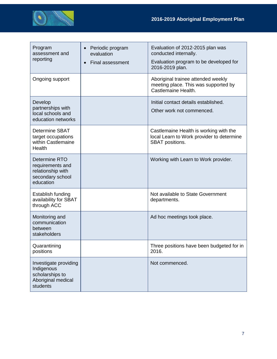

| Program<br>assessment and<br>reporting                                                   | Periodic program<br>evaluation<br><b>Final assessment</b> | Evaluation of 2012-2015 plan was<br>conducted internally.<br>Evaluation program to be developed for<br>2016-2019 plan. |
|------------------------------------------------------------------------------------------|-----------------------------------------------------------|------------------------------------------------------------------------------------------------------------------------|
| Ongoing support                                                                          |                                                           | Aboriginal trainee attended weekly<br>meeting place. This was supported by<br>Castlemaine Health.                      |
| Develop<br>partnerships with<br>local schools and<br>education networks                  |                                                           | Initial contact details established.<br>Other work not commenced.                                                      |
| <b>Determine SBAT</b><br>target occupations<br>within Castlemaine<br>Health              |                                                           | Castlemaine Health is working with the<br>local Learn to Work provider to determine<br>SBAT positions.                 |
| Determine RTO<br>requirements and<br>relationship with<br>secondary school<br>education  |                                                           | Working with Learn to Work provider.                                                                                   |
| Establish funding<br>availability for SBAT<br>through ACC                                |                                                           | Not available to State Government<br>departments.                                                                      |
| Monitoring and<br>communication<br>between<br>stakeholders                               |                                                           | Ad hoc meetings took place.                                                                                            |
| Quarantining<br>positions                                                                |                                                           | Three positions have been budgeted for in<br>2016.                                                                     |
| Investigate providing<br>Indigenous<br>scholarships to<br>Aboriginal medical<br>students |                                                           | Not commenced.                                                                                                         |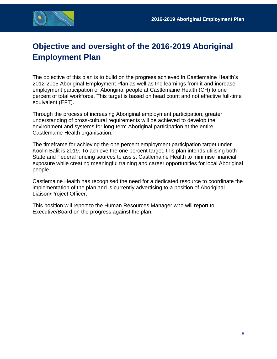

## <span id="page-7-0"></span>**Objective and oversight of the 2016-2019 Aboriginal Employment Plan**

The objective of this plan is to build on the progress achieved in Castlemaine Health's 2012-2015 Aboriginal Employment Plan as well as the learnings from it and increase employment participation of Aboriginal people at Castlemaine Health (CH) to one percent of total workforce. This target is based on head count and not effective full-time equivalent (EFT).

Through the process of increasing Aboriginal employment participation, greater understanding of cross-cultural requirements will be achieved to develop the environment and systems for long-term Aboriginal participation at the entire Castlemaine Health organisation.

The timeframe for achieving the one percent employment participation target under Koolin Balit is 2019. To achieve the one percent target, this plan intends utilising both State and Federal funding sources to assist Castlemaine Health to minimise financial exposure while creating meaningful training and career opportunities for local Aboriginal people.

Castlemaine Health has recognised the need for a dedicated resource to coordinate the implementation of the plan and is currently advertising to a position of Aboriginal Liaison/Project Officer.

This position will report to the Human Resources Manager who will report to Executive/Board on the progress against the plan.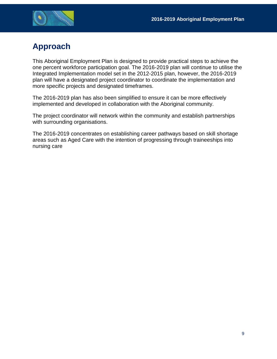

## <span id="page-8-0"></span>**Approach**

This Aboriginal Employment Plan is designed to provide practical steps to achieve the one percent workforce participation goal. The 2016-2019 plan will continue to utilise the Integrated Implementation model set in the 2012-2015 plan, however, the 2016-2019 plan will have a designated project coordinator to coordinate the implementation and more specific projects and designated timeframes.

The 2016-2019 plan has also been simplified to ensure it can be more effectively implemented and developed in collaboration with the Aboriginal community.

The project coordinator will network within the community and establish partnerships with surrounding organisations.

The 2016-2019 concentrates on establishing career pathways based on skill shortage areas such as Aged Care with the intention of progressing through traineeships into nursing care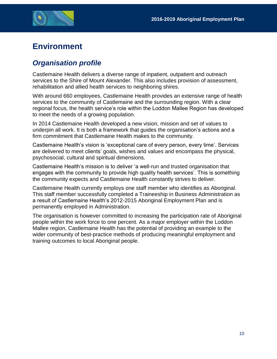

## <span id="page-9-0"></span>**Environment**

#### <span id="page-9-1"></span>*Organisation profile*

Castlemaine Health delivers a diverse range of inpatient, outpatient and outreach services to the Shire of Mount Alexander. This also includes provision of assessment, rehabilitation and allied health services to neighboring shires.

With around 660 employees, Castlemaine Health provides an extensive range of health services to the community of Castlemaine and the surrounding region. With a clear regional focus, the health service's role within the Loddon Mallee Region has developed to meet the needs of a growing population.

In 2014 Castlemaine Health developed a new vision, mission and set of values to underpin all work. It is both a framework that guides the organisation's actions and a firm commitment that Castlemaine Health makes to the community.

Castlemaine Health's vision is 'exceptional care of every person, every time'. Services are delivered to meet clients' goals, wishes and values and encompass the physical, psychosocial, cultural and spiritual dimensions.

Castlemaine Health's mission is to deliver 'a well-run and trusted organisation that engages with the community to provide high quality health services'. This is something the community expects and Castlemaine Health constantly strives to deliver.

Castlemaine Health currently employs one staff member who identifies as Aboriginal. This staff member successfully completed a Traineeship in Business Administration as a result of Castlemaine Health's 2012-2015 Aboriginal Employment Plan and is permanently employed in Administration.

The organisation is however committed to increasing the participation rate of Aboriginal people within the work force to one percent. As a major employer within the Loddon Mallee region, Castlemaine Health has the potential of providing an example to the wider community of best-practice methods of producing meaningful employment and training outcomes to local Aboriginal people.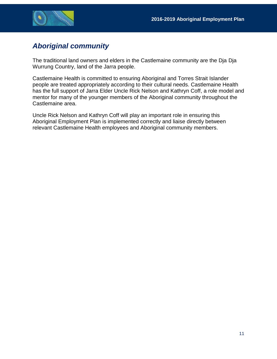

#### <span id="page-10-0"></span>*Aboriginal community*

The traditional land owners and elders in the Castlemaine community are the Dja Dja Wurrung Country, land of the Jarra people.

Castlemaine Health is committed to ensuring Aboriginal and Torres Strait Islander people are treated appropriately according to their cultural needs. Castlemaine Health has the full support of Jarra Elder Uncle Rick Nelson and Kathryn Coff, a role model and mentor for many of the younger members of the Aboriginal community throughout the Castlemaine area.

Uncle Rick Nelson and Kathryn Coff will play an important role in ensuring this Aboriginal Employment Plan is implemented correctly and liaise directly between relevant Castlemaine Health employees and Aboriginal community members.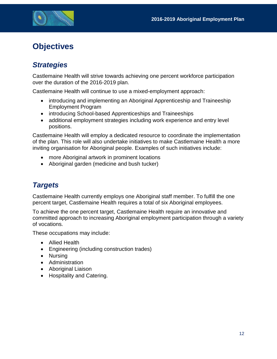

## <span id="page-11-0"></span>**Objectives**

#### <span id="page-11-1"></span>*Strategies*

Castlemaine Health will strive towards achieving one percent workforce participation over the duration of the 2016-2019 plan.

Castlemaine Health will continue to use a mixed-employment approach:

- introducing and implementing an Aboriginal Apprenticeship and Traineeship Employment Program
- introducing School-based Apprenticeships and Traineeships
- additional employment strategies including work experience and entry level positions.

Castlemaine Health will employ a dedicated resource to coordinate the implementation of the plan. This role will also undertake initiatives to make Castlemaine Health a more inviting organisation for Aboriginal people. Examples of such initiatives include:

- more Aboriginal artwork in prominent locations
- Aboriginal garden (medicine and bush tucker)

#### <span id="page-11-2"></span>*Targets*

Castlemaine Health currently employs one Aboriginal staff member. To fulfill the one percent target, Castlemaine Health requires a total of six Aboriginal employees.

To achieve the one percent target, Castlemaine Health require an innovative and committed approach to increasing Aboriginal employment participation through a variety of vocations.

These occupations may include:

- Allied Health
- Engineering (including construction trades)
- Nursing
- Administration
- Aboriginal Liaison
- Hospitality and Catering.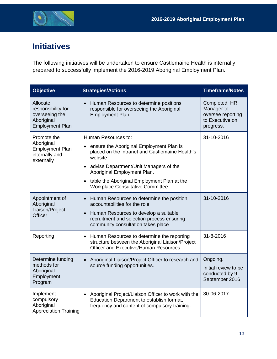

## <span id="page-12-0"></span>**Initiatives**

The following initiatives will be undertaken to ensure Castlemaine Health is internally prepared to successfully implement the 2016-2019 Aboriginal Employment Plan.

| <b>Objective</b>                                                                         | <b>Strategies/Actions</b>                                                                                                                                                                                                                                                                                            | <b>Timeframe/Notes</b>                                                           |
|------------------------------------------------------------------------------------------|----------------------------------------------------------------------------------------------------------------------------------------------------------------------------------------------------------------------------------------------------------------------------------------------------------------------|----------------------------------------------------------------------------------|
| Allocate<br>responsibility for<br>overseeing the<br>Aboriginal<br><b>Employment Plan</b> | Human Resources to determine positions<br>responsible for overseeing the Aboriginal<br>Employment Plan.                                                                                                                                                                                                              | Completed. HR<br>Manager to<br>oversee reporting<br>to Executive on<br>progress. |
| Promote the<br>Aboriginal<br><b>Employment Plan</b><br>internally and<br>externally      | Human Resources to:<br>ensure the Aboriginal Employment Plan is<br>placed on the intranet and Castlemaine Health's<br>website<br>advise Department/Unit Managers of the<br>$\bullet$<br>Aboriginal Employment Plan.<br>table the Aboriginal Employment Plan at the<br>$\bullet$<br>Workplace Consultative Committee. | 31-10-2016                                                                       |
| Appointment of<br>Aboriginal<br>Liaison/Project<br><b>Officer</b>                        | Human Resources to determine the position<br>$\bullet$<br>accountabilities for the role<br>Human Resources to develop a suitable<br>$\bullet$<br>recruitment and selection process ensuring<br>community consultation takes place                                                                                    | 31-10-2016                                                                       |
| Reporting                                                                                | Human Resources to determine the reporting<br>$\bullet$<br>structure between the Aboriginal Liaison/Project<br><b>Officer and Executive/Human Resources</b>                                                                                                                                                          | 31-8-2016                                                                        |
| Determine funding<br>methods for<br>Aboriginal<br>Employment<br>Program                  | Aboriginal Liaison/Project Officer to research and<br>$\bullet$<br>source funding opportunities.                                                                                                                                                                                                                     | Ongoing.<br>Initial review to be<br>conducted by 9<br>September 2016             |
| Implement<br>compulsory<br>Aboriginal<br>Appreciation Training                           | Aboriginal Project/Liaison Officer to work with the<br>Education Department to establish format,<br>frequency and content of compulsory training.                                                                                                                                                                    | 30-06-2017                                                                       |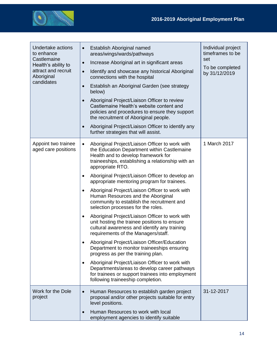

| Undertake actions<br>to enhance<br>Castlemaine<br>Health's ability to<br>attract and recruit<br>Aboriginal<br>candidates | Establish Aboriginal named<br>$\bullet$<br>areas/wings/wards/pathways<br>Increase Aboriginal art in significant areas<br>$\bullet$<br>Identify and showcase any historical Aboriginal<br>$\bullet$<br>connections with the hospital<br>Establish an Aboriginal Garden (see strategy<br>$\bullet$<br>below)<br>Aboriginal Project/Liaison Officer to review<br>$\bullet$<br>Castlemaine Health's website content and<br>policies and procedures to ensure they support<br>the recruitment of Aboriginal people.<br>Aboriginal Project/Liaison Officer to identify any<br>$\bullet$<br>further strategies that will assist.                                                                                                                                                                                                                                                                                                                                                                                                                                                                               | Individual project<br>timeframes to be<br>set<br>To be completed<br>by 31/12/2019 |
|--------------------------------------------------------------------------------------------------------------------------|---------------------------------------------------------------------------------------------------------------------------------------------------------------------------------------------------------------------------------------------------------------------------------------------------------------------------------------------------------------------------------------------------------------------------------------------------------------------------------------------------------------------------------------------------------------------------------------------------------------------------------------------------------------------------------------------------------------------------------------------------------------------------------------------------------------------------------------------------------------------------------------------------------------------------------------------------------------------------------------------------------------------------------------------------------------------------------------------------------|-----------------------------------------------------------------------------------|
| Appoint two trainee<br>aged care positions                                                                               | Aboriginal Project/Liaison Officer to work with<br>$\bullet$<br>the Education Department within Castlemaine<br>Health and to develop framework for<br>traineeships, establishing a relationship with an<br>appropriate RTO.<br>Aboriginal Project/Liaison Officer to develop an<br>$\bullet$<br>appropriate mentoring program for trainees.<br>Aboriginal Project/Liaison Officer to work with<br>$\bullet$<br>Human Resources and the Aboriginal<br>community to establish the recruitment and<br>selection processes for the roles.<br>Aboriginal Project/Liaison Officer to work with<br>$\bullet$<br>unit hosting the trainee positions to ensure<br>cultural awareness and identify any training<br>requirements of the Managers/staff.<br>Aboriginal Project/Liaison Officer/Education<br>$\bullet$<br>Department to monitor traineeships ensuring<br>progress as per the training plan.<br>Aboriginal Project/Liaison Officer to work with<br>$\bullet$<br>Departments/areas to develop career pathways<br>for trainees or support trainees into employment<br>following traineeship completion. | 1 March 2017                                                                      |
| Work for the Dole<br>project                                                                                             | Human Resources to establish garden project<br>proposal and/or other projects suitable for entry<br>level positions.<br>Human Resources to work with local<br>employment agencies to identify suitable                                                                                                                                                                                                                                                                                                                                                                                                                                                                                                                                                                                                                                                                                                                                                                                                                                                                                                  | 31-12-2017                                                                        |